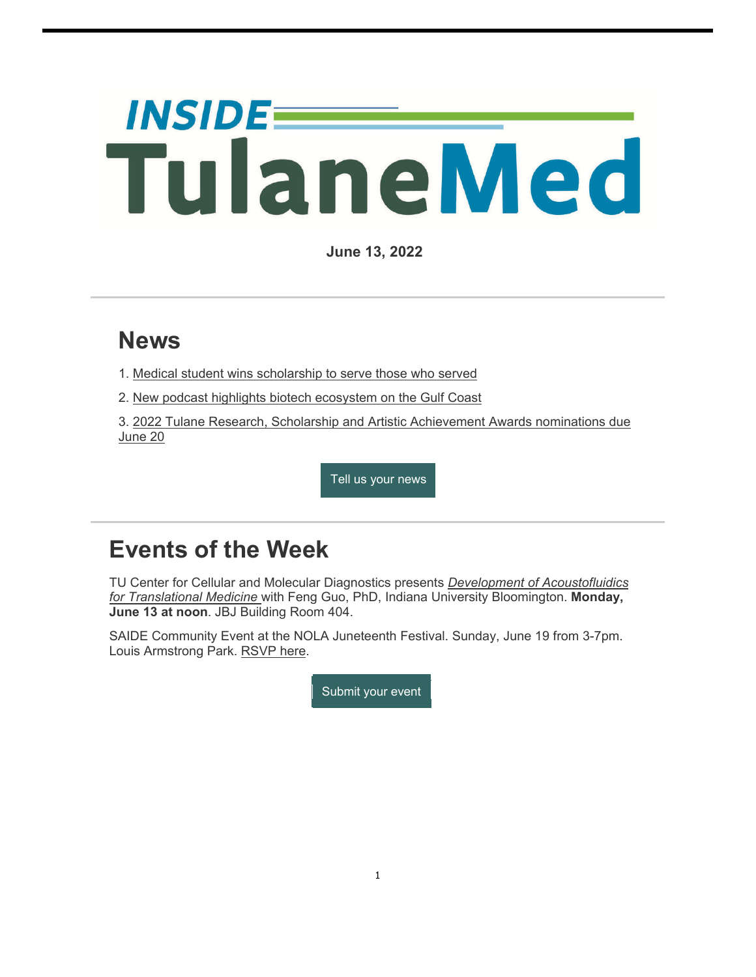# *INSIDE=* TulaneMed

**June 13, 2022**

## **News**

- 1. Medical student wins scholarship to serve those who served
- 2. New podcast highlights biotech ecosystem on the Gulf Coast

3. 2022 Tulane Research, Scholarship and Artistic Achievement Awards nominations due June 20

Tell us your news

## **Events of the Week**

TU Center for Cellular and Molecular Diagnostics presents *Development of Acoustofluidics for Translational Medicine* with Feng Guo, PhD, Indiana University Bloomington. **Monday, June 13 at noon**. JBJ Building Room 404.

SAIDE Community Event at the NOLA Juneteenth Festival. Sunday, June 19 from 3-7pm. Louis Armstrong Park. RSVP here.

Submit your event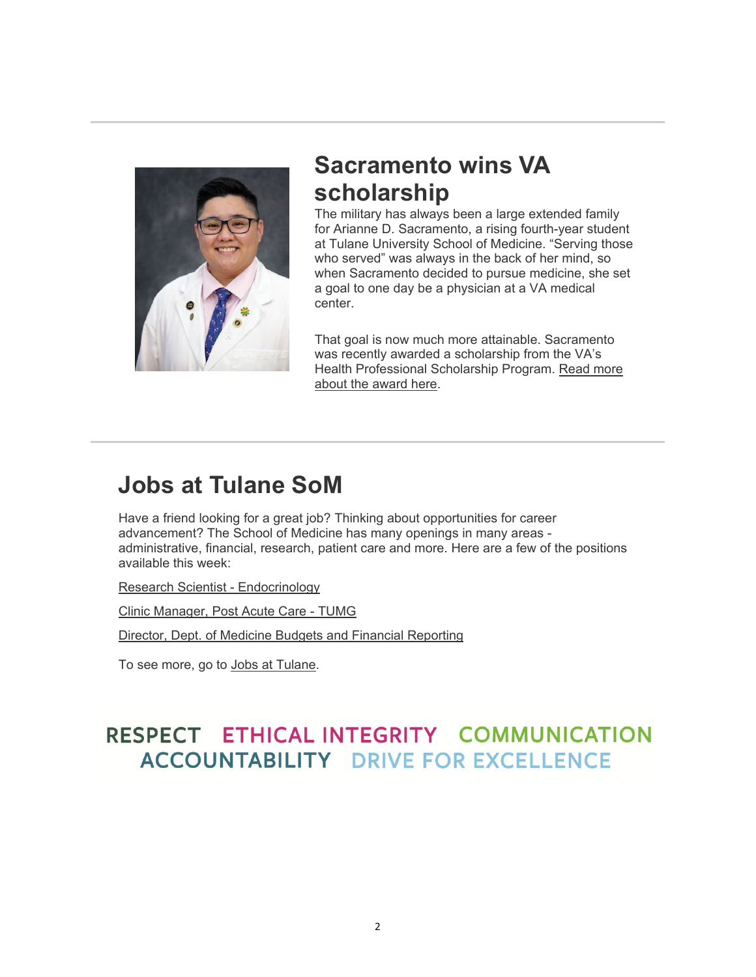

## **Sacramento wins VA scholarship**

The military has always been a large extended family for Arianne D. Sacramento, a rising fourth-year student at Tulane University School of Medicine. "Serving those who served" was always in the back of her mind, so when Sacramento decided to pursue medicine, she set a goal to one day be a physician at a VA medical center.

That goal is now much more attainable. Sacramento was recently awarded a scholarship from the VA's Health Professional Scholarship Program. Read more about the award here.

## **Jobs at Tulane SoM**

Have a friend looking for a great job? Thinking about opportunities for career advancement? The School of Medicine has many openings in many areas administrative, financial, research, patient care and more. Here are a few of the positions available this week:

Research Scientist - Endocrinology

Clinic Manager, Post Acute Care - TUMG

Director, Dept. of Medicine Budgets and Financial Reporting

To see more, go to Jobs at Tulane.

## RESPECT ETHICAL INTEGRITY COMMUNICATION **ACCOUNTABILITY DRIVE FOR EXCELLENCE**